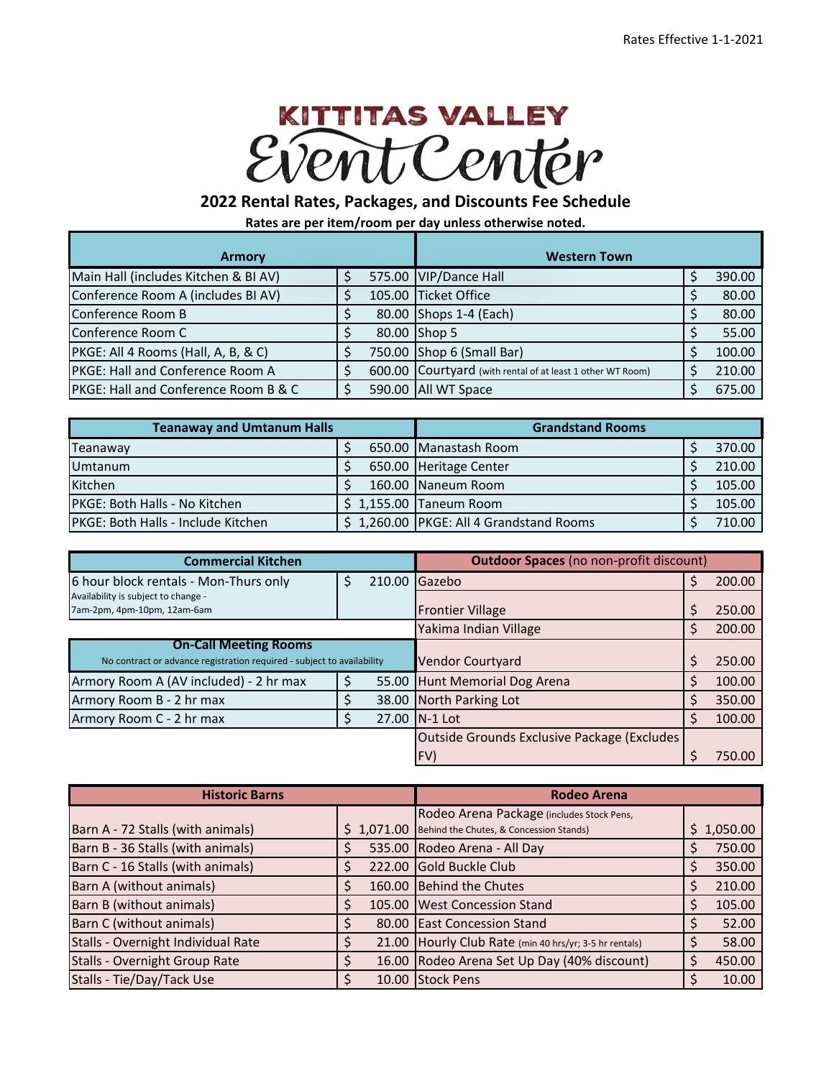## KITTITAS VALLEY PentCenter

## **2022 Rental Rates, Packages, and Discounts Fee Schedule**

**Rates are per item/room per day unless otherwise noted.**

| <b>Armory</b>                                    |  | <b>Western Town</b>                                        |        |
|--------------------------------------------------|--|------------------------------------------------------------|--------|
| Main Hall (includes Kitchen & BI AV)             |  | 575.00 VIP/Dance Hall                                      | 390.00 |
| Conference Room A (includes BI AV)               |  | 105.00 Ticket Office                                       | 80.00  |
| Conference Room B                                |  | 80.00 Shops 1-4 (Each)                                     | 80.00  |
| Conference Room C                                |  | 80.00 Shop 5                                               | 55.00  |
| PKGE: All 4 Rooms (Hall, A, B, & C)              |  | 750.00 Shop 6 (Small Bar)                                  | 100.00 |
| PKGE: Hall and Conference Room A                 |  | 600.00 Courtyard (with rental of at least 1 other WT Room) | 210.00 |
| <b>IPKGE: Hall and Conference Room B &amp; C</b> |  | 590.00 All WT Space                                        | 675.00 |

| <b>Teanaway and Umtanum Halls</b>         |  | <b>Grandstand Rooms</b>                 |        |
|-------------------------------------------|--|-----------------------------------------|--------|
| <b>Teanaway</b>                           |  | 650.00 Manastash Room                   | 370.00 |
| <b>Umtanum</b>                            |  | 650.00 Heritage Center                  | 210.00 |
| Kitchen                                   |  | 160.00 Naneum Room                      | 105.00 |
| PKGE: Both Halls - No Kitchen             |  | $$1,155.00$ Taneum Room                 | 105.00 |
| <b>PKGE: Both Halls - Include Kitchen</b> |  | \$1,260.00 PKGE: All 4 Grandstand Rooms | 710.00 |

| <b>Commercial Kitchen</b>                                              |   |  | <b>Outdoor Spaces (no non-profit discount)</b> |  |        |  |
|------------------------------------------------------------------------|---|--|------------------------------------------------|--|--------|--|
| 6 hour block rentals - Mon-Thurs only                                  | Ś |  | 210.00 Gazebo                                  |  | 200.00 |  |
| Availability is subject to change -                                    |   |  |                                                |  |        |  |
| 7am-2pm, 4pm-10pm, 12am-6am                                            |   |  | <b>Frontier Village</b>                        |  | 250.00 |  |
|                                                                        |   |  | Yakima Indian Village                          |  | 200.00 |  |
| <b>On-Call Meeting Rooms</b>                                           |   |  |                                                |  |        |  |
| No contract or advance registration required - subject to availability |   |  | <b>Vendor Courtyard</b>                        |  | 250.00 |  |
| Armory Room A (AV included) - 2 hr max                                 |   |  | 55.00 Hunt Memorial Dog Arena                  |  | 100.00 |  |
| Armory Room B - 2 hr max                                               |   |  | 38.00 North Parking Lot                        |  | 350.00 |  |
| Armory Room C - 2 hr max                                               |   |  | 27.00 IN-1 Lot                                 |  | 100.00 |  |
|                                                                        |   |  | Outside Grounds Exclusive Package (Excludes)   |  |        |  |
|                                                                        |   |  | (FV)                                           |  | 750.00 |  |

| <b>Historic Barns</b>              |            | <b>Rodeo Arena</b>                                     |            |  |  |
|------------------------------------|------------|--------------------------------------------------------|------------|--|--|
|                                    |            | Rodeo Arena Package (includes Stock Pens,              |            |  |  |
| Barn A - 72 Stalls (with animals)  | \$1,071.00 | Behind the Chutes, & Concession Stands)                | \$1,050.00 |  |  |
| Barn B - 36 Stalls (with animals)  |            | 535.00 Rodeo Arena - All Day                           | 750.00     |  |  |
| Barn C - 16 Stalls (with animals)  | 222.00     | <b>Gold Buckle Club</b>                                | 350.00     |  |  |
| Barn A (without animals)           | 160.00     | <b>Behind the Chutes</b>                               | 210.00     |  |  |
| Barn B (without animals)           |            | 105.00 West Concession Stand                           | 105.00     |  |  |
| Barn C (without animals)           |            | 80.00 East Concession Stand                            | 52.00      |  |  |
| Stalls - Overnight Individual Rate |            | 21.00 Hourly Club Rate (min 40 hrs/yr; 3-5 hr rentals) | 58.00      |  |  |
| Stalls - Overnight Group Rate      |            | 16.00 Rodeo Arena Set Up Day (40% discount)            | 450.00     |  |  |
| Stalls - Tie/Day/Tack Use          |            | 10.00 Stock Pens                                       | 10.00      |  |  |